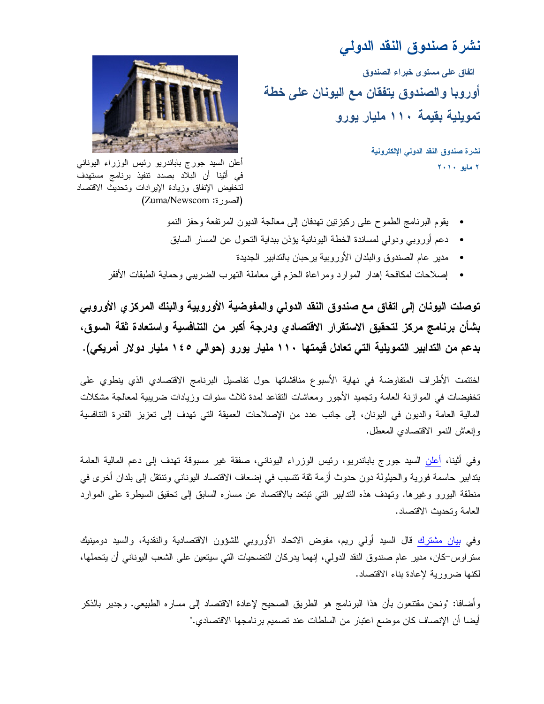# نشرة صندوق النقد الدولى

اتفاق على مستوى خبراء الصندوق أوروبا والصندوق يتفقان مع اليونان على خطة تمويلية بقيمة ١١٠ مليار يورو

> نشرة صندوق النقد الدولى الإلكترونية  $Y + Y + y = 1$  هايو



أعلن السيد جورج باباندريو رئيس الوزراء اليوناني في أَثْنِنا أَن البلاد بصدد نتفيذ برنامج مستهدف لتخفيض الإنفاق وزيادة الإيرادات وتحديث الاقتصاد (الصورة: Zuma/Newscom)

- يقوم البرنامج الطموح على ركيزتين تهدفان إلى معالجة الديون المرتفعة وحفز النمو
- دعم أو روبي ودولي لمساندة الخطة اليونانية يؤذن ببداية التحول عن المسار السابق
	- مدير عام الصندوق والبلدان الأوروبية برحبان بالندابير الجديدة
- إصلاحات لمكافحة إهدار الموارد ومراعاة الحزم في معاملة النهرب الضريبي وحماية الطبقات الأفقر

توصلت اليونان إلى اتفاق مع صندوق النقد الدولي والمفوضية الأوروبية والبنك المركزى الأوروبي بِشأن برنامج مركز لتحقيق الاستقرار الاقتصادي ودرجة أكبر من التنافسية واستعادة ثقة السوق، بدعم من التدابير التمويلية التي تعادل قيمتها ١١٠ مليار يورو (حوالي ١٤٥ مليار دولار أمريكي).

اختتمت الأطراف المتفاوضة في نهاية الأسبوع مناقشاتها حول تفاصيل البرنامج الاقتصادي الذي ينطوي على تخفيضات في الموازنة العامة وتجميد الأجور ومعاشات النقاعد لمدة ثلاث سنوات وزيادات ضريبية لمعالجة مشكلات المالية العامة والديون في اليونان، إلى جانب عدد من الإصلاحات العميقة التي تهدف إلى تعزيز القدرة التنافسية وإنعاش النمو الاقتصادي المعطل.

وفي أثينا، أعلن السيد جورج باباندريو، رئيس الوزراء اليوناني، صفقة غير مسبوقة تهدف إلى دعم المالية العامة بتدابير حاسمة فورية والحيلولة دون حدوث أزمة ثقة نتسبب في إضعاف الاقتصاد اليوناني ونتنقل إلى بلدان أخرى في منطقة البورو وغيرها. ونهدف هذه التدابير التي نبتعد بالاقتصاد عن مساره السابق إلى نحقيق السيطرة على الموارد العامة وتحديث الاقتصاد.

وفي بيان مشترك قال السيد أولى ريم، مفوض الاتحاد الأوروبي للشؤون الاقتصادية والنقدية، والسيد دومينيك ستر اوس–كان، مدير عام صندوق النقد الدولي، إنهما يدركان التضحيات التي سيتعين على الشعب اليوناني أن يتحملها، لكنها ضرورية لإعادة بناء الاقتصاد.

وأضافًا: "ونحن مقتنعون بأن هذا البرنامج هو الطريق الصحيح لإعادة الاقتصاد إلى مساره الطبيعي. وجدير بالذكر أيضا أن الإنصاف كان موضع اعتبار من السلطات عند تصميم برنامجها الاقتصادي."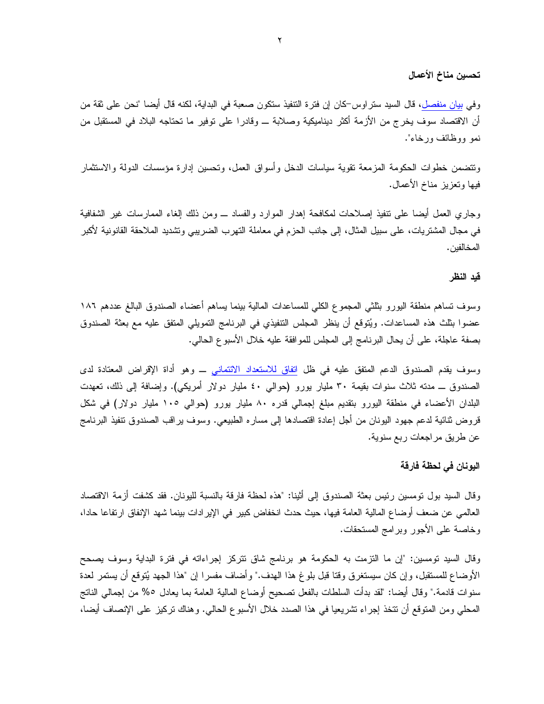### تحسين مناخ الأعمال

وفي بي<u>ان منفصل</u>، قال السيد ستراوس<sup>ــ</sup>كان إن فترة النتفيذ ستكون صعبة في البداية، لكنه قال أيضا "نحن على ثقة من أن الاقتصاد سوف يخرج من الأزمة أكثر ديناميكية وصلابة ـــ وقادرا على نوفير ما نحتاجه البلاد في المستقبل من نمو ووظائف ورخاء".

ونتضمن خطوات الحكومة المزمعة نقوية سياسات الدخل وأسواق العمل، وتحسين إدارة مؤسسات الدولة والاستثمار فيها وتعزيز مناخ الأعمال.

وجاري العمل أيضـا علـى نتفيذ إصـلاحات لمكـافحـة إهدار الموارد والفساد ــــ ومن ذلك إلغاء الممـارسات غير الشفافيـة في مجال المشتريات، على سبيل المثال، إلى جانب الحزم في معاملة التهرب الضريبي وتشديد الملاحقة القانونية لأكبر المخالفين .

#### قبد النظر

وسوف تساهم منطقة اليورو بثلثى المجموع الكلي للمساعدات المالية بينما يساهم أعضاء الصندوق البالغ عددهم ١٨٦ عضوا بثلث هذه المساعدات. ويُتوقع أن ينظر المجلس التنفيذي في البرنامج التمويلي المتفق عليه مع بعثة الصندوق بصفة عاجلة، على أن يحال البرنامج إلى المجلس للموافقة عليه خلال الأسبوع الحالي.

وسوف يقدم الصندوق الدعم المتفق عليه في ظل <mark>اتفاق للاستعداد الائتماني</mark> ــ وهو أداة الإقراض المعتادة لدى الصندوق ــ مدنه ثلاث سنوات بقيمة ٣٠ مليار بورو (حوالبي ٤٠ مليار دولار أمريكي). وإضافة إلى ذلك، تعهدت البلدان الأعضاء في منطقة اليورو بتقديم مبلغ إجمالي قدره ٨٠ مليار بورو (حوالي ١٠٥ مليار دولار) في شكل قروض ثنائية لدعم جهود اليونان من أجل إعادة اقتصادها إلى مساره الطبيعي. وسوف يراقب الصندوق نتفيذ البرنامج عن طريق مراجعات ربع سنوية.

### اليونان في لحظة فارقة

وقال السيد بول تومسين رئيس بعثة الصندوق إلى أثينا: "هذه لحظة فارقة بالنسبة لليونان. فقد كشفت أزمة الاقتصاد العالمي عن ضعف أوضاع المالية العامة فيها، حيث حدث انخفاض كبير في الإير ادات بينما شهد الإنفاق ارتفاعا حادا، وخاصة على الأجور وبرامج المستحقات.

وقال السيد نومسين: "إن ما النزمت به الحكومة هو برنامج شاق نتركز إجراءاته في فترة البداية وسوف بصحح الأوضاع للمستقبل، وإن كان سيستغرق وقتا قبل بلوغ هذا الهدف." وأضاف مفسرا إن "هذا الجهد يُتوقع أن يستمر لعدة سنوات قادمة." وقال أيضا: "لقد بدأت السلطات بالفعل تصحيح أوضاع المالية العامة بما يعادل ٥% من إجمالي الناتج المحلي ومن المنوقع أن نتخذ إجراء نشريعيا في هذا الصدد خلال الأسبوع الحالي. وهناك نركيز على الإنصاف أيضا،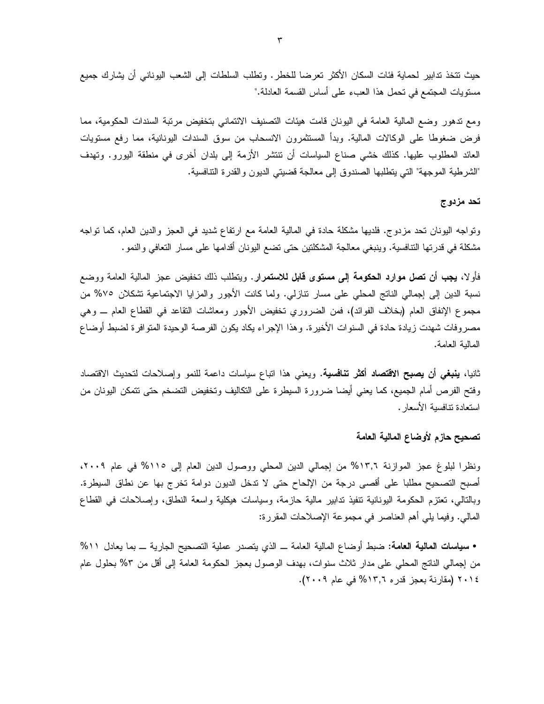حيث نتخذ ندابير لحماية فئات السكان الأكثر تعرضا للخطر . ونطلب السلطات إلى الشعب اليوناني أن يشارك جميع مستويات المجتمع في تحمل هذا العبء على أساس القسمة العادلة."

ومع ندهور وضع المالية العامة في اليونان قامت هيئات التصنيف الائتماني بتخفيض مرنبة السندات الحكومية، مما فرض ضغوطا على الوكالات المالية. وبدأ المستثمرون الانسحاب من سوق السندات اليونانية، مما رفع مستويات العائد المطلوب عليها. كذلك خشى صناع السياسات أن نتتشر الأزمة إلى بلدان أخرى في منطقة اليورو. وتهدف "الشرطية الموجهة" التي يتطلبها الصندوق إلى معالجة قضيتي الديون والقدرة النتافسية.

### تحد مزدوج

ونواجه اليونان نحد مزدوج. فلديها مشكلة حادة في المالية العامة مع ارتفاع شديد في العجز والدين العام، كما نواجه مشكلة في قدرتها التنافسية. وينبغي معالجة المشكلتين حتى تضع اليونان أقدامها على مسار التعافي والنمو .

فأولا، **يجب أن تصل موارد الحكومة إلى مستوى قابل للاستمرار**. ويتطلب ذلك تخفيض عجز المالية العامة ووضع نسبة الدين إلى إجمالي الناتج المحلي على مسار نتازلي. ولما كانت الأجور والمزايا الاجتماعية نتفكلان ٧٥% من مجموع الإنفاق العام (بخلاف الفوائد)، فمن الضروري نخفيض الأجور ومعاشات النقاعد في القطاع العام ـــ وهي مصروفات شهدت زيادة حادة في السنوات الأخيرة. وهذا الإجراء يكاد يكون الفرصة الوحيدة المتوافرة لضبط أوضاع المالبة العامة.

ثانيا، **ينبغي أن يصبح الاقتصاد أكثر تنافسية**. ويعني هذا اتباع سياسات داعمة للنمو وإصلاحات لتحديث الاقتصاد وفتح الفرص أمام الجميع، كما يعني أيضا ضرورة السيطرة على النكاليف ونخفيض النضخم حتى نتمكن اليونان من استعادة تنافسبة الأسعار .

## تصحيح حازم لأوضاع المالية العامة

ونظرا لبلوغ عجز الموازنة ١٣,٦% من إجمالي الدين المحلي ووصول الدين العام إلى ١١٥% في عام ٢٠٠٩، أصبح التصحيح مطلبا على أقصبي درجة من الإلحاح حتى لا ندخل الديون دوامة تخرج بها عن نطاق السيطرة. وبالنالبي، نعتزم الحكومة اليونانية نتفيذ ندابير مالية حازمة، وسياسات هيكلية واسعة النطاق، وإصلاحات في القطاع المالبي. وفيما يلِّي أهم العناصر في مجموعة الإصلاحات المقررة:

• سياسات المالية العامة: ضبط أوضاع المالية العامة ــ الذي يتصدر عملية التصحيح الجارية ــ بما يعادل ٥١١⁄١ من إجمالي الناتج المحلي على مدار ثلاث سنوات، بهدف الوصول بعجز الحكومة العامة إلى أقل من ٣% بحلول عام ٢٠١٤ (مقارنة بعجز قدره ١٣,٦% في عام ٢٠٠٩).